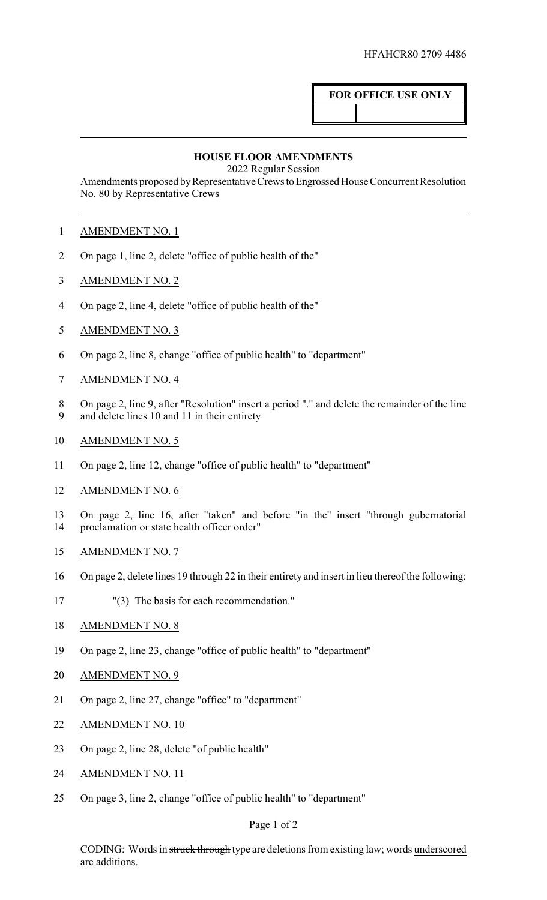## **FOR OFFICE USE ONLY**

## **HOUSE FLOOR AMENDMENTS**

2022 Regular Session

Amendments proposed by Representative Crews to Engrossed House Concurrent Resolution No. 80 by Representative Crews

- AMENDMENT NO. 1
- On page 1, line 2, delete "office of public health of the"
- AMENDMENT NO. 2
- On page 2, line 4, delete "office of public health of the"
- AMENDMENT NO. 3
- On page 2, line 8, change "office of public health" to "department"
- AMENDMENT NO. 4
- On page 2, line 9, after "Resolution" insert a period "." and delete the remainder of the line
- and delete lines 10 and 11 in their entirety
- AMENDMENT NO. 5
- On page 2, line 12, change "office of public health" to "department"
- AMENDMENT NO. 6

 On page 2, line 16, after "taken" and before "in the" insert "through gubernatorial proclamation or state health officer order"

- AMENDMENT NO. 7
- On page 2, delete lines 19 through 22 in their entirety and insert in lieu thereof the following:
- "(3) The basis for each recommendation."
- 18 AMENDMENT NO. 8
- On page 2, line 23, change "office of public health" to "department"
- AMENDMENT NO. 9
- On page 2, line 27, change "office" to "department"
- AMENDMENT NO. 10
- On page 2, line 28, delete "of public health"
- AMENDMENT NO. 11
- On page 3, line 2, change "office of public health" to "department"

## Page 1 of 2

CODING: Words in struck through type are deletions from existing law; words underscored are additions.